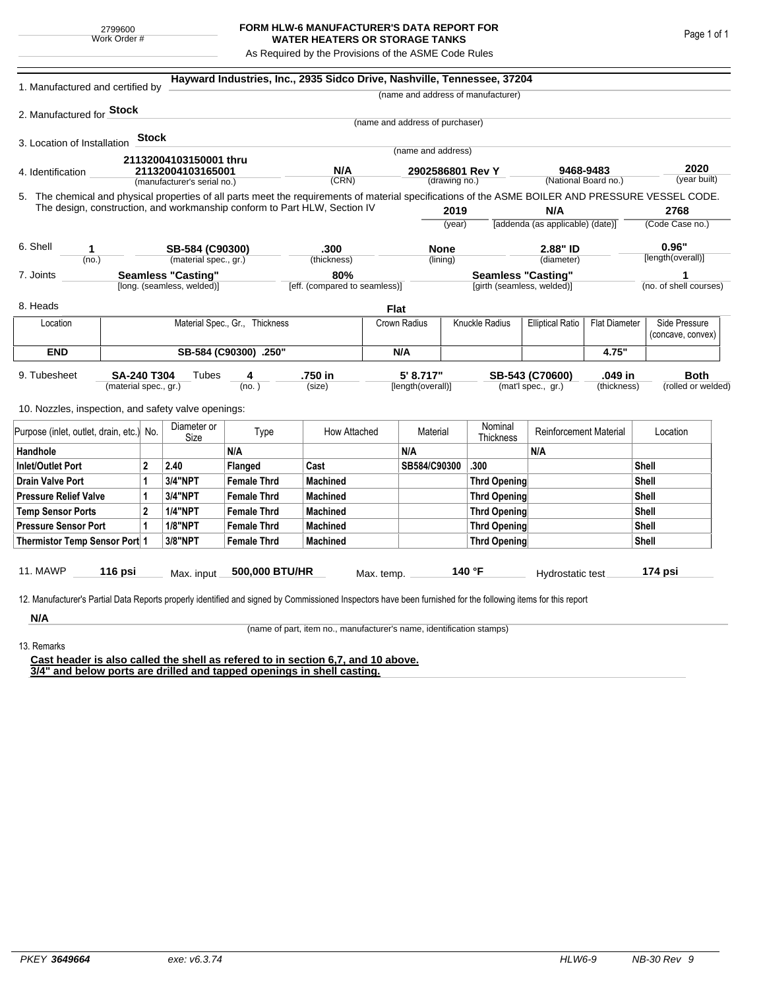## **FORM HLW-6 MANUFACTURER'S DATA REPORT FOR WATER HEATERS OR STORAGE TANKS**

As Required by the Provisions of the ASME Code Rules

| 1. Manufactured and certified by                                                                                                                                          |                                |       |                                                  |                       | Hayward Industries, Inc., 2935 Sidco Drive, Nashville, Tennessee, 37204   |             |                                   |                   |                                    |                                                                 |                        |                            |                                    |
|---------------------------------------------------------------------------------------------------------------------------------------------------------------------------|--------------------------------|-------|--------------------------------------------------|-----------------------|---------------------------------------------------------------------------|-------------|-----------------------------------|-------------------|------------------------------------|-----------------------------------------------------------------|------------------------|----------------------------|------------------------------------|
|                                                                                                                                                                           |                                |       |                                                  |                       |                                                                           |             |                                   |                   | (name and address of manufacturer) |                                                                 |                        |                            |                                    |
| 2. Manufactured for <b>Stock</b>                                                                                                                                          |                                |       |                                                  |                       |                                                                           |             |                                   |                   |                                    |                                                                 |                        |                            |                                    |
|                                                                                                                                                                           |                                |       |                                                  |                       |                                                                           |             | (name and address of purchaser)   |                   |                                    |                                                                 |                        |                            |                                    |
| 3. Location of Installation                                                                                                                                               |                                | Stock |                                                  |                       |                                                                           |             | (name and address)                |                   |                                    |                                                                 |                        |                            |                                    |
|                                                                                                                                                                           |                                |       | 21132004103150001 thru                           |                       |                                                                           |             |                                   |                   |                                    |                                                                 |                        |                            |                                    |
| 4. Identification                                                                                                                                                         |                                |       | 21132004103165001<br>(manufacturer's serial no.) |                       | N/A<br>(CRN)                                                              |             | 2902586801 Rev Y<br>(drawing no.) |                   |                                    | 9468-9483<br>(National Board no.)                               |                        | 2020<br>(year built)       |                                    |
| 5. The chemical and physical properties of all parts meet the requirements of material specifications of the ASME BOILER AND PRESSURE VESSEL CODE.                        |                                |       |                                                  |                       |                                                                           |             |                                   |                   |                                    |                                                                 |                        |                            |                                    |
|                                                                                                                                                                           |                                |       |                                                  |                       | The design, construction, and workmanship conform to Part HLW, Section IV |             |                                   | 2019              |                                    | N/A                                                             |                        |                            | 2768                               |
|                                                                                                                                                                           |                                |       |                                                  |                       |                                                                           |             | (year)                            |                   |                                    | [addenda (as applicable) (date)]                                |                        | (Code Case no.)            |                                    |
|                                                                                                                                                                           |                                |       |                                                  |                       |                                                                           |             |                                   |                   |                                    |                                                                 |                        |                            |                                    |
| 6. Shell<br>1<br>(no.)                                                                                                                                                    |                                |       | SB-584 (C90300)<br>(material spec., gr.)         |                       | .300<br>(thickness)                                                       |             | <b>None</b><br>(lining)           |                   |                                    | 2.88" ID<br>(diameter)                                          |                        | 0.96"<br>[length(overall)] |                                    |
| 7. Joints                                                                                                                                                                 |                                |       | <b>Seamless "Casting"</b>                        |                       | 80%                                                                       |             |                                   |                   |                                    | <b>Seamless "Casting"</b>                                       |                        | 1                          |                                    |
|                                                                                                                                                                           |                                |       | [long. (seamless, welded)]                       |                       | [eff. (compared to seamless)]                                             |             |                                   |                   | [girth (seamless, welded)]         |                                                                 | (no. of shell courses) |                            |                                    |
| 8. Heads                                                                                                                                                                  |                                |       |                                                  |                       |                                                                           | <b>Flat</b> |                                   |                   |                                    |                                                                 |                        |                            |                                    |
| Location                                                                                                                                                                  | Material Spec., Gr., Thickness |       |                                                  |                       |                                                                           |             | Knuckle Radius<br>Crown Radius    |                   |                                    | <b>Elliptical Ratio</b><br><b>Flat Diameter</b>                 |                        |                            | Side Pressure<br>(concave, convex) |
| <b>END</b>                                                                                                                                                                |                                |       |                                                  | SB-584 (C90300) .250" |                                                                           |             | N/A                               |                   |                                    |                                                                 | 4.75"                  |                            |                                    |
| 9. Tubesheet<br><b>SA-240 T304</b><br>(material spec., gr.)                                                                                                               |                                |       | Tubes                                            | 4<br>(no.)            | .750 in<br>(size)                                                         |             | 5' 8.717"                         | [length(overall)] |                                    | .049 in<br>SB-543 (C70600)<br>(mat'l spec., gr.)<br>(thickness) |                        |                            | <b>Both</b><br>(rolled or welded)  |
| 10. Nozzles, inspection, and safety valve openings:                                                                                                                       |                                |       |                                                  |                       |                                                                           |             |                                   |                   |                                    |                                                                 |                        |                            |                                    |
| Purpose (inlet, outlet, drain, etc.) No.                                                                                                                                  |                                |       | Diameter or<br>Size                              | Type                  | How Attached                                                              |             | Material                          |                   | Nominal<br>Thickness               | <b>Reinforcement Material</b>                                   |                        |                            | Location                           |
| Handhole                                                                                                                                                                  |                                |       |                                                  | N/A                   |                                                                           |             | N/A                               |                   |                                    | N/A                                                             |                        |                            |                                    |
| 2<br>Inlet/Outlet Port                                                                                                                                                    |                                |       | 2.40                                             | Flanged               | Cast                                                                      |             | SB584/C90300                      |                   | .300                               |                                                                 |                        | <b>Shell</b>               |                                    |
| 1<br>Drain Valve Port                                                                                                                                                     |                                |       | 3/4"NPT                                          | <b>Female Thrd</b>    | <b>Machined</b>                                                           |             |                                   |                   | Thrd Opening                       |                                                                 |                        | Shell                      |                                    |
| <b>Pressure Relief Valve</b><br>1                                                                                                                                         |                                |       | 3/4"NPT                                          | <b>Female Thrd</b>    | <b>Machined</b>                                                           |             |                                   |                   | Thrd Opening                       |                                                                 |                        | Shell                      |                                    |
| $\overline{2}$<br><b>Temp Sensor Ports</b>                                                                                                                                |                                |       | <b>1/4"NPT</b>                                   | <b>Female Thrd</b>    | <b>Machined</b>                                                           |             |                                   |                   | Thrd Opening                       |                                                                 |                        | Shell                      |                                    |
| <b>Pressure Sensor Port</b><br>1                                                                                                                                          |                                |       | <b>1/8"NPT</b>                                   | <b>Female Thrd</b>    | <b>Machined</b>                                                           |             |                                   |                   | Thrd Opening                       |                                                                 |                        | Shell                      |                                    |
| Thermistor Temp Sensor Port 1                                                                                                                                             |                                |       | 3/8"NPT                                          | <b>Female Thrd</b>    | <b>Machined</b>                                                           |             |                                   | Thrd Opening      |                                    |                                                                 |                        | Shell                      |                                    |
| 11. MAWP<br>12. Manufacturer's Partial Data Reports properly identified and signed by Commissioned Inspectors have been furnished for the following items for this report | 116 psi                        |       | Max. input                                       | 500,000 BTU/HR        |                                                                           | Max. temp.  |                                   |                   | 140 °F                             | Hydrostatic test                                                |                        |                            | 174 psi                            |
| N/A                                                                                                                                                                       |                                |       |                                                  |                       |                                                                           |             |                                   |                   |                                    |                                                                 |                        |                            |                                    |

(name of part, item no., manufacturer's name, identification stamps)

13. Remarks

**Cast header is also called the shell as refered to in section 6,7, and 10 above. 3/4" and below ports are drilled and tapped openings in shell casting.**